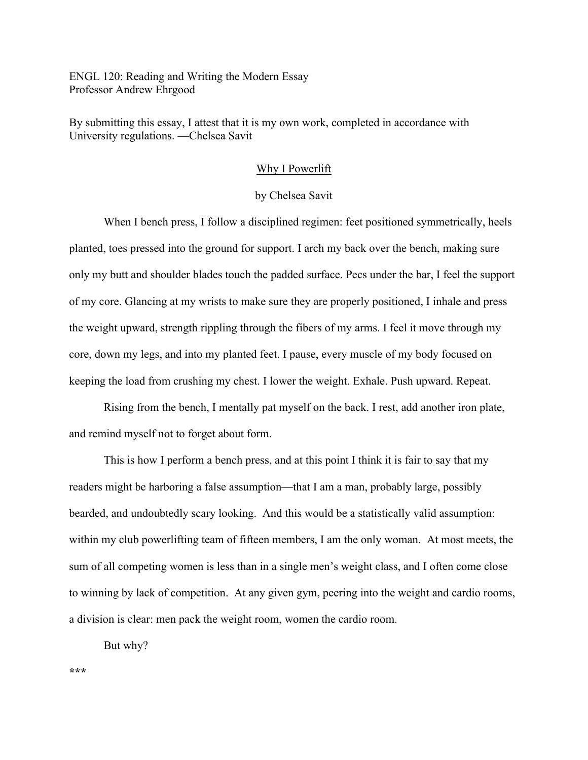ENGL 120: Reading and Writing the Modern Essay Professor Andrew Ehrgood

By submitting this essay, I attest that it is my own work, completed in accordance with University regulations. —Chelsea Savit

## Why I Powerlift

## by Chelsea Savit

When I bench press, I follow a disciplined regimen: feet positioned symmetrically, heels planted, toes pressed into the ground for support. I arch my back over the bench, making sure only my butt and shoulder blades touch the padded surface. Pecs under the bar, I feel the support of my core. Glancing at my wrists to make sure they are properly positioned, I inhale and press the weight upward, strength rippling through the fibers of my arms. I feel it move through my core, down my legs, and into my planted feet. I pause, every muscle of my body focused on keeping the load from crushing my chest. I lower the weight. Exhale. Push upward. Repeat.

Rising from the bench, I mentally pat myself on the back. I rest, add another iron plate, and remind myself not to forget about form.

This is how I perform a bench press, and at this point I think it is fair to say that my readers might be harboring a false assumption—that I am a man, probably large, possibly bearded, and undoubtedly scary looking. And this would be a statistically valid assumption: within my club powerlifting team of fifteen members, I am the only woman. At most meets, the sum of all competing women is less than in a single men's weight class, and I often come close to winning by lack of competition. At any given gym, peering into the weight and cardio rooms, a division is clear: men pack the weight room, women the cardio room.

But why?

**\*\*\***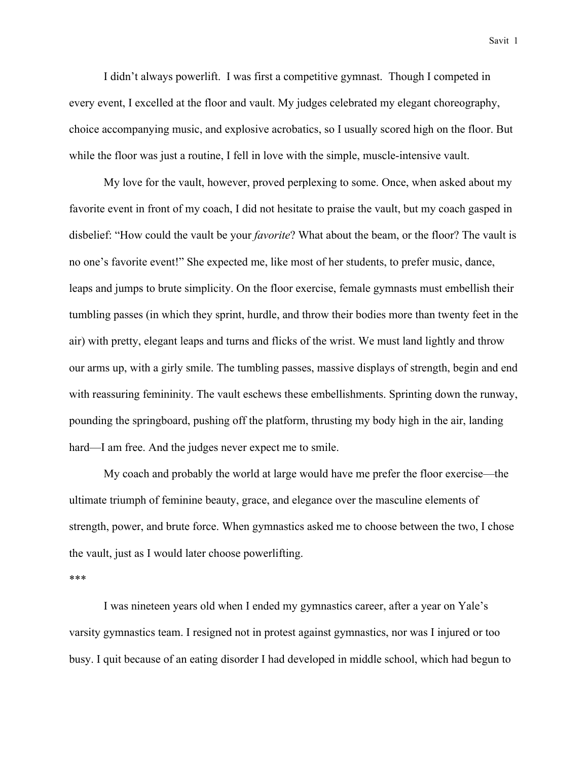I didn't always powerlift. I was first a competitive gymnast. Though I competed in every event, I excelled at the floor and vault. My judges celebrated my elegant choreography, choice accompanying music, and explosive acrobatics, so I usually scored high on the floor. But while the floor was just a routine, I fell in love with the simple, muscle-intensive vault.

My love for the vault, however, proved perplexing to some. Once, when asked about my favorite event in front of my coach, I did not hesitate to praise the vault, but my coach gasped in disbelief: "How could the vault be your *favorite*? What about the beam, or the floor? The vault is no one's favorite event!" She expected me, like most of her students, to prefer music, dance, leaps and jumps to brute simplicity. On the floor exercise, female gymnasts must embellish their tumbling passes (in which they sprint, hurdle, and throw their bodies more than twenty feet in the air) with pretty, elegant leaps and turns and flicks of the wrist. We must land lightly and throw our arms up, with a girly smile. The tumbling passes, massive displays of strength, begin and end with reassuring femininity. The vault eschews these embellishments. Sprinting down the runway, pounding the springboard, pushing off the platform, thrusting my body high in the air, landing hard—I am free. And the judges never expect me to smile.

My coach and probably the world at large would have me prefer the floor exercise—the ultimate triumph of feminine beauty, grace, and elegance over the masculine elements of strength, power, and brute force. When gymnastics asked me to choose between the two, I chose the vault, just as I would later choose powerlifting.

\*\*\*

I was nineteen years old when I ended my gymnastics career, after a year on Yale's varsity gymnastics team. I resigned not in protest against gymnastics, nor was I injured or too busy. I quit because of an eating disorder I had developed in middle school, which had begun to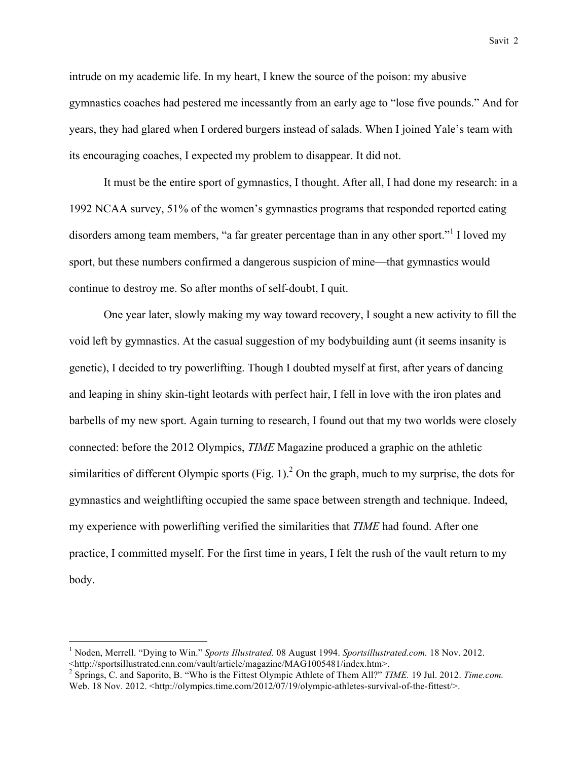intrude on my academic life. In my heart, I knew the source of the poison: my abusive gymnastics coaches had pestered me incessantly from an early age to "lose five pounds." And for years, they had glared when I ordered burgers instead of salads. When I joined Yale's team with its encouraging coaches, I expected my problem to disappear. It did not.

It must be the entire sport of gymnastics, I thought. After all, I had done my research: in a 1992 NCAA survey, 51% of the women's gymnastics programs that responded reported eating disorders among team members, "a far greater percentage than in any other sport."<sup>1</sup> I loved my sport, but these numbers confirmed a dangerous suspicion of mine—that gymnastics would continue to destroy me. So after months of self-doubt, I quit.

One year later, slowly making my way toward recovery, I sought a new activity to fill the void left by gymnastics. At the casual suggestion of my bodybuilding aunt (it seems insanity is genetic), I decided to try powerlifting. Though I doubted myself at first, after years of dancing and leaping in shiny skin-tight leotards with perfect hair, I fell in love with the iron plates and barbells of my new sport. Again turning to research, I found out that my two worlds were closely connected: before the 2012 Olympics, *TIME* Magazine produced a graphic on the athletic similarities of different Olympic sports (Fig. 1).<sup>2</sup> On the graph, much to my surprise, the dots for gymnastics and weightlifting occupied the same space between strength and technique. Indeed, my experience with powerlifting verified the similarities that *TIME* had found. After one practice, I committed myself. For the first time in years, I felt the rush of the vault return to my body.

 <sup>1</sup> Noden, Merrell. "Dying to Win." *Sports Illustrated.* 08 August 1994. *Sportsillustrated.com.* 18 Nov. 2012. <http://sportsillustrated.cnn.com/vault/article/magazine/MAG1005481/index.htm>.

<sup>2</sup> Springs, C. and Saporito, B. "Who is the Fittest Olympic Athlete of Them All?" *TIME.* 19 Jul. 2012. *Time.com.*  Web. 18 Nov. 2012. <http://olympics.time.com/2012/07/19/olympic-athletes-survival-of-the-fittest/>.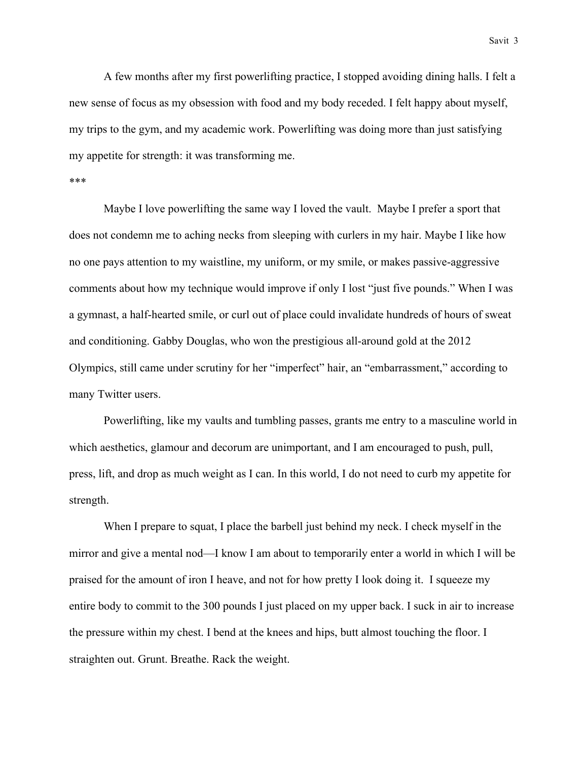Savit 3

A few months after my first powerlifting practice, I stopped avoiding dining halls. I felt a new sense of focus as my obsession with food and my body receded. I felt happy about myself, my trips to the gym, and my academic work. Powerlifting was doing more than just satisfying my appetite for strength: it was transforming me.

## \*\*\*

Maybe I love powerlifting the same way I loved the vault. Maybe I prefer a sport that does not condemn me to aching necks from sleeping with curlers in my hair. Maybe I like how no one pays attention to my waistline, my uniform, or my smile, or makes passive-aggressive comments about how my technique would improve if only I lost "just five pounds." When I was a gymnast, a half-hearted smile, or curl out of place could invalidate hundreds of hours of sweat and conditioning. Gabby Douglas, who won the prestigious all-around gold at the 2012 Olympics, still came under scrutiny for her "imperfect" hair, an "embarrassment," according to many Twitter users.

Powerlifting, like my vaults and tumbling passes, grants me entry to a masculine world in which aesthetics, glamour and decorum are unimportant, and I am encouraged to push, pull, press, lift, and drop as much weight as I can. In this world, I do not need to curb my appetite for strength.

When I prepare to squat, I place the barbell just behind my neck. I check myself in the mirror and give a mental nod—I know I am about to temporarily enter a world in which I will be praised for the amount of iron I heave, and not for how pretty I look doing it. I squeeze my entire body to commit to the 300 pounds I just placed on my upper back. I suck in air to increase the pressure within my chest. I bend at the knees and hips, butt almost touching the floor. I straighten out. Grunt. Breathe. Rack the weight.